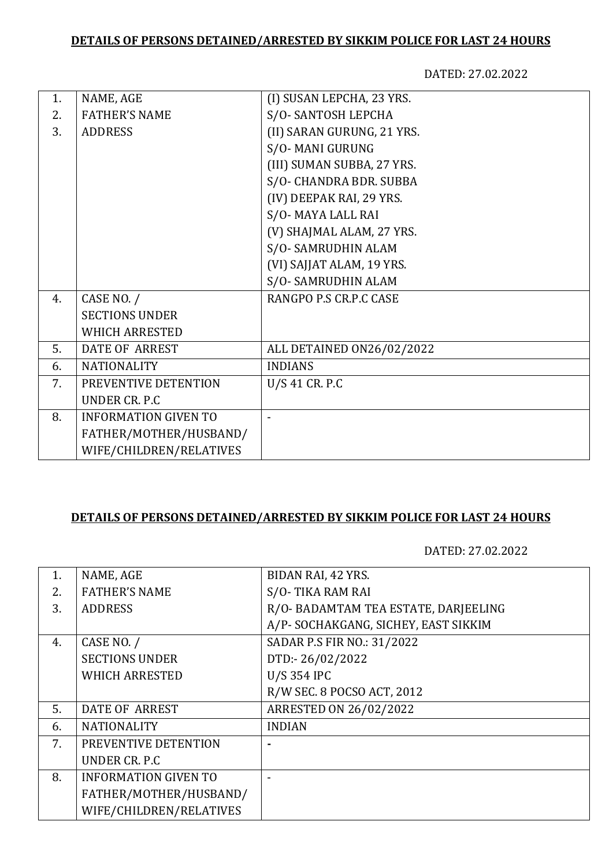## **DETAILS OF PERSONS DETAINED/ARRESTED BY SIKKIM POLICE FOR LAST 24 HOURS**

DATED: 27.02.2022

| 1. | NAME, AGE                   | (I) SUSAN LEPCHA, 23 YRS.  |
|----|-----------------------------|----------------------------|
| 2. | <b>FATHER'S NAME</b>        | S/O-SANTOSH LEPCHA         |
| 3. | <b>ADDRESS</b>              | (II) SARAN GURUNG, 21 YRS. |
|    |                             | S/O-MANI GURUNG            |
|    |                             | (III) SUMAN SUBBA, 27 YRS. |
|    |                             | S/O- CHANDRA BDR. SUBBA    |
|    |                             | (IV) DEEPAK RAI, 29 YRS.   |
|    |                             | S/O-MAYA LALL RAI          |
|    |                             | (V) SHAJMAL ALAM, 27 YRS.  |
|    |                             | S/O-SAMRUDHIN ALAM         |
|    |                             | (VI) SAJJAT ALAM, 19 YRS.  |
|    |                             | S/O-SAMRUDHIN ALAM         |
| 4. | CASE NO. /                  | RANGPO P.S CR.P.C CASE     |
|    | <b>SECTIONS UNDER</b>       |                            |
|    | <b>WHICH ARRESTED</b>       |                            |
| 5. | <b>DATE OF ARREST</b>       | ALL DETAINED ON26/02/2022  |
| 6. | <b>NATIONALITY</b>          | <b>INDIANS</b>             |
| 7. | PREVENTIVE DETENTION        | U/S 41 CR. P.C             |
|    | <b>UNDER CR. P.C</b>        |                            |
| 8. | <b>INFORMATION GIVEN TO</b> |                            |
|    | FATHER/MOTHER/HUSBAND/      |                            |
|    | WIFE/CHILDREN/RELATIVES     |                            |
|    |                             |                            |

## **DETAILS OF PERSONS DETAINED/ARRESTED BY SIKKIM POLICE FOR LAST 24 HOURS**

DATED: 27.02.2022

| NAME, AGE                   | BIDAN RAI, 42 YRS.                   |
|-----------------------------|--------------------------------------|
| <b>FATHER'S NAME</b>        | S/O-TIKA RAM RAI                     |
| <b>ADDRESS</b>              | R/O- BADAMTAM TEA ESTATE, DARJEELING |
|                             | A/P-SOCHAKGANG, SICHEY, EAST SIKKIM  |
| CASE NO. /                  | SADAR P.S FIR NO.: 31/2022           |
| <b>SECTIONS UNDER</b>       | DTD:-26/02/2022                      |
| <b>WHICH ARRESTED</b>       | <b>U/S 354 IPC</b>                   |
|                             | R/W SEC. 8 POCSO ACT, 2012           |
| <b>DATE OF ARREST</b>       | ARRESTED ON 26/02/2022               |
| <b>NATIONALITY</b>          | <b>INDIAN</b>                        |
| PREVENTIVE DETENTION        |                                      |
| UNDER CR. P.C.              |                                      |
| <b>INFORMATION GIVEN TO</b> |                                      |
| FATHER/MOTHER/HUSBAND/      |                                      |
| WIFE/CHILDREN/RELATIVES     |                                      |
|                             |                                      |